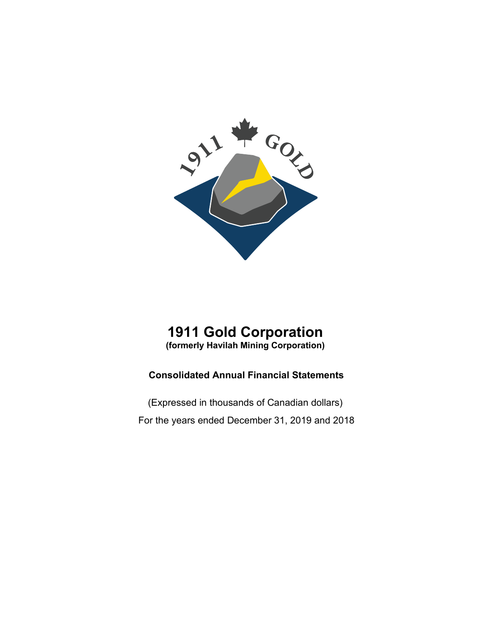

# **1911 Gold Corporation (formerly Havilah Mining Corporation)**

# **Consolidated Annual Financial Statements**

(Expressed in thousands of Canadian dollars) For the years ended December 31, 2019 and 2018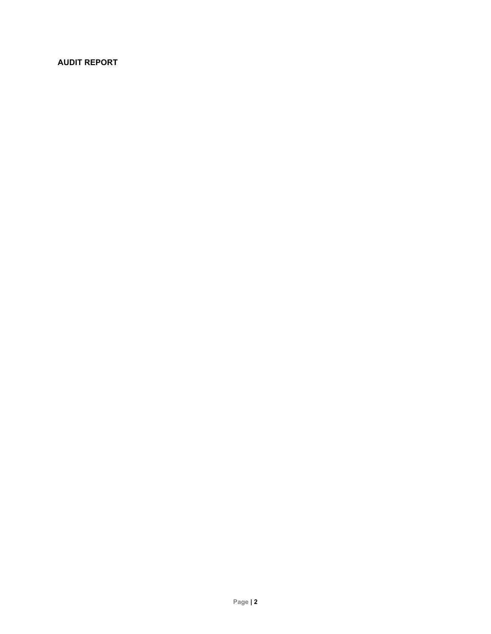# **AUDIT REPORT**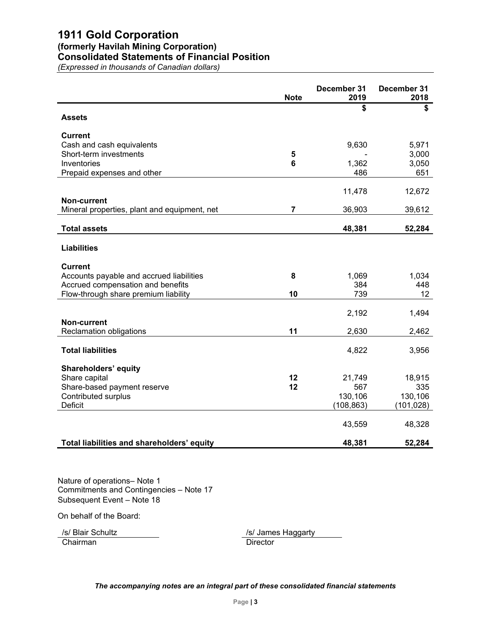# **1911 Gold Corporation (formerly Havilah Mining Corporation) Consolidated Statements of Financial Position**

*(Expressed in thousands of Canadian dollars)*

|                                              | <b>Note</b>    | December 31<br>2019 | December 31<br>2018 |
|----------------------------------------------|----------------|---------------------|---------------------|
|                                              |                | \$                  | \$                  |
| <b>Assets</b>                                |                |                     |                     |
| <b>Current</b>                               |                |                     |                     |
| Cash and cash equivalents                    |                | 9,630               | 5,971               |
| Short-term investments                       | 5              |                     | 3,000               |
| Inventories                                  | 6              | 1,362               | 3,050               |
| Prepaid expenses and other                   |                | 486                 | 651                 |
|                                              |                |                     |                     |
| <b>Non-current</b>                           |                | 11,478              | 12,672              |
| Mineral properties, plant and equipment, net | $\overline{7}$ | 36,903              | 39,612              |
|                                              |                |                     |                     |
| <b>Total assets</b>                          |                | 48,381              | 52,284              |
|                                              |                |                     |                     |
| <b>Liabilities</b>                           |                |                     |                     |
| <b>Current</b>                               |                |                     |                     |
| Accounts payable and accrued liabilities     | 8              | 1,069               | 1,034               |
| Accrued compensation and benefits            |                | 384                 | 448                 |
| Flow-through share premium liability         | 10             | 739                 | 12 <sup>°</sup>     |
|                                              |                |                     |                     |
|                                              |                | 2,192               | 1,494               |
| Non-current                                  |                |                     |                     |
| <b>Reclamation obligations</b>               | 11             | 2,630               | 2,462               |
|                                              |                |                     |                     |
| <b>Total liabilities</b>                     |                | 4,822               | 3,956               |
| Shareholders' equity                         |                |                     |                     |
| Share capital                                | 12             | 21,749              | 18,915              |
| Share-based payment reserve                  | 12             | 567                 | 335                 |
| <b>Contributed surplus</b>                   |                | 130,106             | 130,106             |
| <b>Deficit</b>                               |                | (108, 863)          | (101,028)           |
|                                              |                |                     |                     |
|                                              |                | 43,559              | 48,328              |
| Total liabilities and shareholders' equity   |                | 48,381              | 52,284              |

Nature of operations– Note 1 Commitments and Contingencies – Note 17 Subsequent Event – Note 18

On behalf of the Board:

/s/ Blair Schultz /s/ James Haggarty Chairman Director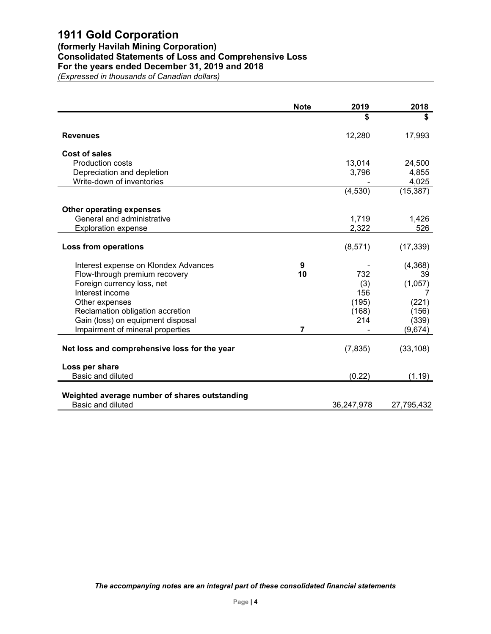# **(formerly Havilah Mining Corporation) Consolidated Statements of Loss and Comprehensive Loss For the years ended December 31, 2019 and 2018**

*(Expressed in thousands of Canadian dollars)*

| <b>Note</b>    | 2019    | 2018                                       |
|----------------|---------|--------------------------------------------|
|                | \$      | \$                                         |
|                | 12,280  | 17,993                                     |
|                |         |                                            |
|                | 13,014  | 24,500                                     |
|                |         | 4,855                                      |
|                |         | 4,025                                      |
|                | (4,530) | (15, 387)                                  |
|                |         |                                            |
|                | 1,719   | 1,426                                      |
|                | 2,322   | 526                                        |
|                |         | (17, 339)                                  |
|                |         |                                            |
| 9              |         | (4,368)                                    |
| 10             | 732     | 39                                         |
|                | (3)     | (1,057)                                    |
|                | 156     |                                            |
|                | (195)   | (221)                                      |
|                | (168)   | (156)                                      |
|                | 214     | (339)                                      |
| $\overline{7}$ |         | (9,674)                                    |
|                |         |                                            |
|                |         | (33, 108)                                  |
|                |         |                                            |
|                | (0.22)  | (1.19)                                     |
|                |         |                                            |
|                |         | 27,795,432                                 |
|                |         | 3,796<br>(8,571)<br>(7, 835)<br>36,247,978 |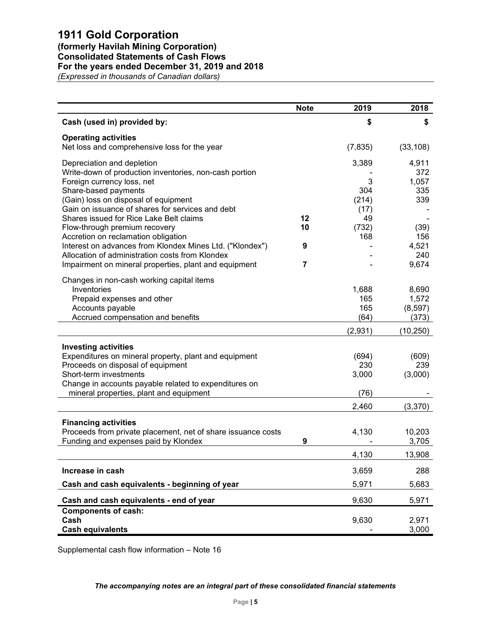# **(formerly Havilah Mining Corporation)**

**Consolidated Statements of Cash Flows**

# **For the years ended December 31, 2019 and 2018**

*(Expressed in thousands of Canadian dollars)*

|                                                              | <b>Note</b>    | 2019     | 2018         |
|--------------------------------------------------------------|----------------|----------|--------------|
| Cash (used in) provided by:                                  |                | \$       | \$           |
| <b>Operating activities</b>                                  |                |          |              |
| Net loss and comprehensive loss for the year                 |                | (7, 835) | (33, 108)    |
| Depreciation and depletion                                   |                | 3,389    | 4,911        |
| Write-down of production inventories, non-cash portion       |                |          | 372          |
| Foreign currency loss, net<br>Share-based payments           |                | 3<br>304 | 1,057<br>335 |
| (Gain) loss on disposal of equipment                         |                | (214)    | 339          |
| Gain on issuance of shares for services and debt             |                | (17)     |              |
| Shares issued for Rice Lake Belt claims                      | 12             | 49       |              |
| Flow-through premium recovery                                | 10             | (732)    | (39)         |
| Accretion on reclamation obligation                          |                | 168      | 156          |
| Interest on advances from Klondex Mines Ltd. ("Klondex")     | 9              |          | 4,521        |
| Allocation of administration costs from Klondex              |                |          | 240          |
| Impairment on mineral properties, plant and equipment        | $\overline{7}$ |          | 9,674        |
| Changes in non-cash working capital items                    |                |          |              |
| Inventories                                                  |                | 1,688    | 8,690        |
| Prepaid expenses and other                                   |                | 165      | 1,572        |
| Accounts payable                                             |                | 165      | (8, 597)     |
| Accrued compensation and benefits                            |                | (64)     | (373)        |
|                                                              |                | (2,931)  | (10, 250)    |
| <b>Investing activities</b>                                  |                |          |              |
| Expenditures on mineral property, plant and equipment        |                | (694)    | (609)        |
| Proceeds on disposal of equipment                            |                | 230      | 239          |
| Short-term investments                                       |                | 3,000    | (3,000)      |
| Change in accounts payable related to expenditures on        |                |          |              |
| mineral properties, plant and equipment                      |                | (76)     |              |
|                                                              |                | 2,460    | (3,370)      |
| <b>Financing activities</b>                                  |                |          |              |
| Proceeds from private placement, net of share issuance costs |                | 4,130    | 10,203       |
| Funding and expenses paid by Klondex                         | 9              |          | 3,705        |
|                                                              |                | 4,130    | 13,908       |
| Increase in cash                                             |                | 3,659    | 288          |
| Cash and cash equivalents - beginning of year                |                | 5,971    | 5,683        |
| Cash and cash equivalents - end of year                      |                | 9,630    | 5,971        |
| <b>Components of cash:</b>                                   |                |          |              |
| Cash                                                         |                | 9,630    | 2,971        |
| <b>Cash equivalents</b>                                      |                |          | 3,000        |

Supplemental cash flow information – Note 16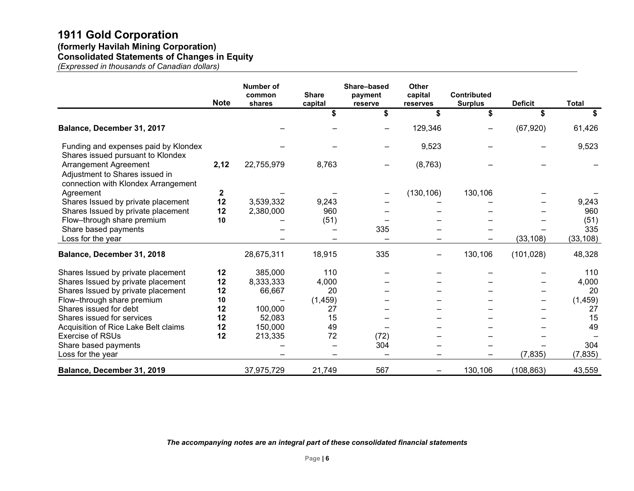# **1911 Gold Corporation (formerly Havilah Mining Corporation)**

**Consolidated Statements of Changes in Equity**

*(Expressed in thousands of Canadian dollars)*

|                                                                                                | <b>Note</b> | Number of<br>common<br>shares | <b>Share</b><br>capital | Share-based<br>payment<br>reserve | <b>Other</b><br>capital<br>reserves | Contributed<br><b>Surplus</b> | <b>Deficit</b> | <b>Total</b> |
|------------------------------------------------------------------------------------------------|-------------|-------------------------------|-------------------------|-----------------------------------|-------------------------------------|-------------------------------|----------------|--------------|
|                                                                                                |             |                               | \$                      | \$                                | \$                                  | \$                            | \$             | \$           |
| Balance, December 31, 2017                                                                     |             |                               |                         |                                   | 129,346                             |                               | (67, 920)      | 61,426       |
| Funding and expenses paid by Klondex<br>Shares issued pursuant to Klondex                      |             |                               |                         |                                   | 9,523                               |                               |                | 9,523        |
| Arrangement Agreement<br>Adjustment to Shares issued in<br>connection with Klondex Arrangement | 2,12        | 22,755,979                    | 8,763                   |                                   | (8, 763)                            |                               |                |              |
| Agreement                                                                                      | 2           |                               |                         |                                   | (130, 106)                          | 130,106                       |                |              |
| Shares Issued by private placement                                                             | 12          | 3,539,332                     | 9,243                   |                                   |                                     |                               |                | 9,243        |
| Shares Issued by private placement                                                             | 12          | 2,380,000                     | 960                     |                                   |                                     |                               |                | 960          |
| Flow-through share premium                                                                     | 10          |                               | (51)                    |                                   |                                     |                               |                | (51)         |
| Share based payments                                                                           |             |                               |                         | 335                               |                                     |                               |                | 335          |
| Loss for the year                                                                              |             |                               |                         |                                   |                                     |                               | (33, 108)      | (33, 108)    |
| Balance, December 31, 2018                                                                     |             | 28,675,311                    | 18,915                  | 335                               | -                                   | 130,106                       | (101, 028)     | 48,328       |
| Shares Issued by private placement                                                             | 12          | 385,000                       | 110                     |                                   |                                     |                               |                | 110          |
| Shares Issued by private placement                                                             | 12          | 8,333,333                     | 4,000                   |                                   |                                     |                               |                | 4,000        |
| Shares Issued by private placement                                                             | 12          | 66,667                        | 20                      |                                   |                                     |                               |                | 20           |
| Flow-through share premium                                                                     | 10          |                               | (1, 459)                |                                   |                                     |                               |                | (1, 459)     |
| Shares issued for debt                                                                         | 12          | 100,000                       | 27                      |                                   |                                     |                               |                | 27           |
| Shares issued for services                                                                     | 12          | 52,083                        | 15                      |                                   |                                     |                               |                | 15           |
| Acquisition of Rice Lake Belt claims                                                           | 12          | 150,000                       | 49                      |                                   |                                     |                               |                | 49           |
| <b>Exercise of RSUs</b>                                                                        | 12          | 213,335                       | 72                      | (72)                              |                                     |                               |                |              |
| Share based payments                                                                           |             |                               |                         | 304                               |                                     |                               |                | 304          |
| Loss for the year                                                                              |             |                               |                         |                                   |                                     |                               | (7, 835)       | (7, 835)     |
| Balance, December 31, 2019                                                                     |             | 37,975,729                    | 21,749                  | 567                               | -                                   | 130,106                       | (108, 863)     | 43,559       |

*The accompanying notes are an integral part of these consolidated financial statements*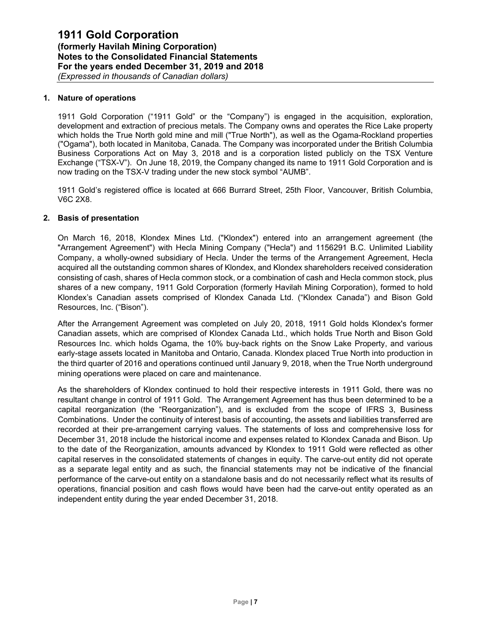## **1. Nature of operations**

1911 Gold Corporation ("1911 Gold" or the "Company") is engaged in the acquisition, exploration, development and extraction of precious metals. The Company owns and operates the Rice Lake property which holds the True North gold mine and mill ("True North"), as well as the Ogama-Rockland properties ("Ogama"), both located in Manitoba, Canada. The Company was incorporated under the British Columbia Business Corporations Act on May 3, 2018 and is a corporation listed publicly on the TSX Venture Exchange ("TSX-V"). On June 18, 2019, the Company changed its name to 1911 Gold Corporation and is now trading on the TSX-V trading under the new stock symbol "AUMB".

1911 Gold's registered office is located at 666 Burrard Street, 25th Floor, Vancouver, British Columbia, V6C 2X8.

#### **2. Basis of presentation**

On March 16, 2018, Klondex Mines Ltd. ("Klondex") entered into an arrangement agreement (the "Arrangement Agreement") with Hecla Mining Company ("Hecla") and 1156291 B.C. Unlimited Liability Company, a wholly-owned subsidiary of Hecla. Under the terms of the Arrangement Agreement, Hecla acquired all the outstanding common shares of Klondex, and Klondex shareholders received consideration consisting of cash, shares of Hecla common stock, or a combination of cash and Hecla common stock, plus shares of a new company, 1911 Gold Corporation (formerly Havilah Mining Corporation), formed to hold Klondex's Canadian assets comprised of Klondex Canada Ltd. ("Klondex Canada") and Bison Gold Resources, Inc. ("Bison").

After the Arrangement Agreement was completed on July 20, 2018, 1911 Gold holds Klondex's former Canadian assets, which are comprised of Klondex Canada Ltd., which holds True North and Bison Gold Resources Inc. which holds Ogama, the 10% buy-back rights on the Snow Lake Property, and various early-stage assets located in Manitoba and Ontario, Canada. Klondex placed True North into production in the third quarter of 2016 and operations continued until January 9, 2018, when the True North underground mining operations were placed on care and maintenance.

As the shareholders of Klondex continued to hold their respective interests in 1911 Gold, there was no resultant change in control of 1911 Gold. The Arrangement Agreement has thus been determined to be a capital reorganization (the "Reorganization"), and is excluded from the scope of IFRS 3, Business Combinations. Under the continuity of interest basis of accounting, the assets and liabilities transferred are recorded at their pre-arrangement carrying values. The statements of loss and comprehensive loss for December 31, 2018 include the historical income and expenses related to Klondex Canada and Bison. Up to the date of the Reorganization, amounts advanced by Klondex to 1911 Gold were reflected as other capital reserves in the consolidated statements of changes in equity. The carve-out entity did not operate as a separate legal entity and as such, the financial statements may not be indicative of the financial performance of the carve-out entity on a standalone basis and do not necessarily reflect what its results of operations, financial position and cash flows would have been had the carve-out entity operated as an independent entity during the year ended December 31, 2018.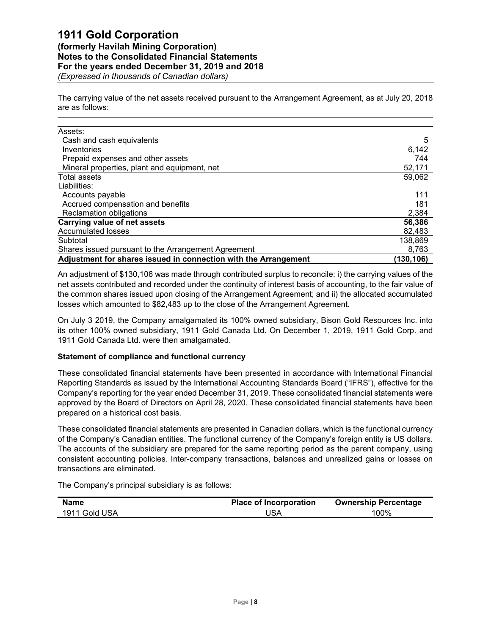# **1911 Gold Corporation**

**(formerly Havilah Mining Corporation) Notes to the Consolidated Financial Statements For the years ended December 31, 2019 and 2018** *(Expressed in thousands of Canadian dollars)*

The carrying value of the net assets received pursuant to the Arrangement Agreement, as at July 20, 2018 are as follows:

| Assets:                                                         |            |
|-----------------------------------------------------------------|------------|
| Cash and cash equivalents                                       | 5          |
| Inventories                                                     | 6,142      |
| Prepaid expenses and other assets                               | 744        |
| Mineral properties, plant and equipment, net                    | 52,171     |
| <b>Total assets</b>                                             | 59,062     |
| Liabilities:                                                    |            |
| Accounts payable                                                | 111        |
| Accrued compensation and benefits                               | 181        |
| <b>Reclamation obligations</b>                                  | 2,384      |
| Carrying value of net assets                                    | 56,386     |
| <b>Accumulated losses</b>                                       | 82,483     |
| Subtotal                                                        | 138,869    |
| Shares issued pursuant to the Arrangement Agreement             | 8,763      |
| Adjustment for shares issued in connection with the Arrangement | (130, 106) |

An adjustment of \$130,106 was made through contributed surplus to reconcile: i) the carrying values of the net assets contributed and recorded under the continuity of interest basis of accounting, to the fair value of the common shares issued upon closing of the Arrangement Agreement; and ii) the allocated accumulated losses which amounted to \$82,483 up to the close of the Arrangement Agreement.

On July 3 2019, the Company amalgamated its 100% owned subsidiary, Bison Gold Resources Inc. into its other 100% owned subsidiary, 1911 Gold Canada Ltd. On December 1, 2019, 1911 Gold Corp. and 1911 Gold Canada Ltd. were then amalgamated.

## **Statement of compliance and functional currency**

These consolidated financial statements have been presented in accordance with International Financial Reporting Standards as issued by the International Accounting Standards Board ("IFRS"), effective for the Company's reporting for the year ended December 31, 2019. These consolidated financial statements were approved by the Board of Directors on April 28, 2020. These consolidated financial statements have been prepared on a historical cost basis.

These consolidated financial statements are presented in Canadian dollars, which is the functional currency of the Company's Canadian entities. The functional currency of the Company's foreign entity is US dollars. The accounts of the subsidiary are prepared for the same reporting period as the parent company, using consistent accounting policies. Inter-company transactions, balances and unrealized gains or losses on transactions are eliminated.

The Company's principal subsidiary is as follows:

| <b>Name</b>   | <b>Place of Incorporation</b> | <b>Ownership Percentage</b> |
|---------------|-------------------------------|-----------------------------|
| 1911 Gold USA | USA                           | 100%                        |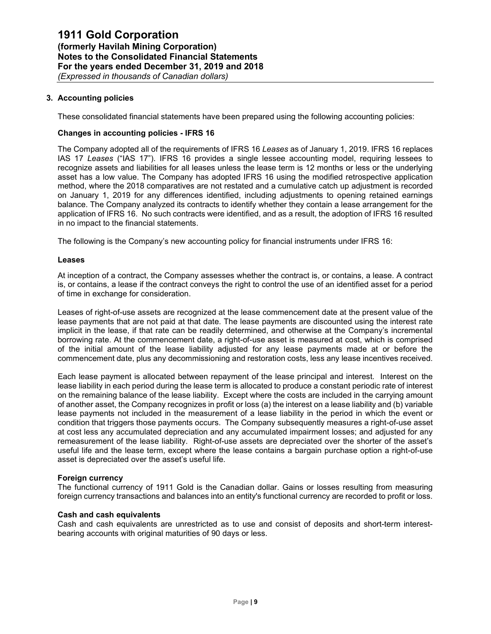## **3. Accounting policies**

These consolidated financial statements have been prepared using the following accounting policies:

#### **Changes in accounting policies - IFRS 16**

The Company adopted all of the requirements of IFRS 16 *Leases* as of January 1, 2019. IFRS 16 replaces IAS 17 *Leases* ("IAS 17"). IFRS 16 provides a single lessee accounting model, requiring lessees to recognize assets and liabilities for all leases unless the lease term is 12 months or less or the underlying asset has a low value. The Company has adopted IFRS 16 using the modified retrospective application method, where the 2018 comparatives are not restated and a cumulative catch up adjustment is recorded on January 1, 2019 for any differences identified, including adjustments to opening retained earnings balance. The Company analyzed its contracts to identify whether they contain a lease arrangement for the application of IFRS 16. No such contracts were identified, and as a result, the adoption of IFRS 16 resulted in no impact to the financial statements.

The following is the Company's new accounting policy for financial instruments under IFRS 16:

#### **Leases**

At inception of a contract, the Company assesses whether the contract is, or contains, a lease. A contract is, or contains, a lease if the contract conveys the right to control the use of an identified asset for a period of time in exchange for consideration.

Leases of right-of-use assets are recognized at the lease commencement date at the present value of the lease payments that are not paid at that date. The lease payments are discounted using the interest rate implicit in the lease, if that rate can be readily determined, and otherwise at the Company's incremental borrowing rate. At the commencement date, a right-of-use asset is measured at cost, which is comprised of the initial amount of the lease liability adjusted for any lease payments made at or before the commencement date, plus any decommissioning and restoration costs, less any lease incentives received.

Each lease payment is allocated between repayment of the lease principal and interest. Interest on the lease liability in each period during the lease term is allocated to produce a constant periodic rate of interest on the remaining balance of the lease liability. Except where the costs are included in the carrying amount of another asset, the Company recognizes in profit or loss (a) the interest on a lease liability and (b) variable lease payments not included in the measurement of a lease liability in the period in which the event or condition that triggers those payments occurs. The Company subsequently measures a right-of-use asset at cost less any accumulated depreciation and any accumulated impairment losses; and adjusted for any remeasurement of the lease liability. Right-of-use assets are depreciated over the shorter of the asset's useful life and the lease term, except where the lease contains a bargain purchase option a right-of-use asset is depreciated over the asset's useful life.

#### **Foreign currency**

The functional currency of 1911 Gold is the Canadian dollar. Gains or losses resulting from measuring foreign currency transactions and balances into an entity's functional currency are recorded to profit or loss.

### **Cash and cash equivalents**

Cash and cash equivalents are unrestricted as to use and consist of deposits and short-term interestbearing accounts with original maturities of 90 days or less.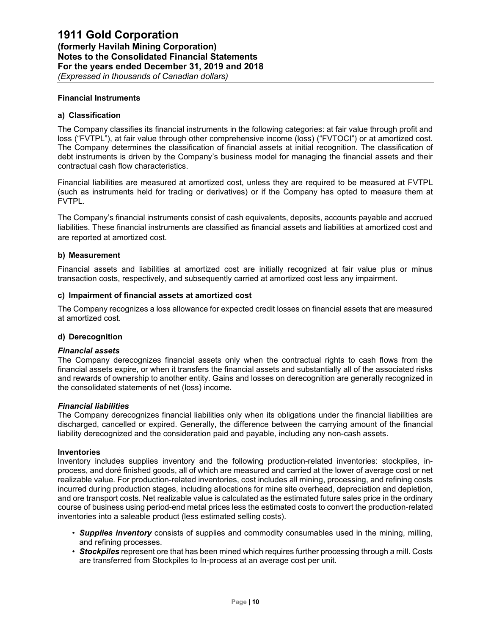#### **Financial Instruments**

#### **a) Classification**

The Company classifies its financial instruments in the following categories: at fair value through profit and loss ("FVTPL"), at fair value through other comprehensive income (loss) ("FVTOCI") or at amortized cost. The Company determines the classification of financial assets at initial recognition. The classification of debt instruments is driven by the Company's business model for managing the financial assets and their contractual cash flow characteristics.

Financial liabilities are measured at amortized cost, unless they are required to be measured at FVTPL (such as instruments held for trading or derivatives) or if the Company has opted to measure them at FVTPL.

The Company's financial instruments consist of cash equivalents, deposits, accounts payable and accrued liabilities. These financial instruments are classified as financial assets and liabilities at amortized cost and are reported at amortized cost.

#### **b) Measurement**

Financial assets and liabilities at amortized cost are initially recognized at fair value plus or minus transaction costs, respectively, and subsequently carried at amortized cost less any impairment.

## **c) Impairment of financial assets at amortized cost**

The Company recognizes a loss allowance for expected credit losses on financial assets that are measured at amortized cost.

#### **d) Derecognition**

#### *Financial assets*

The Company derecognizes financial assets only when the contractual rights to cash flows from the financial assets expire, or when it transfers the financial assets and substantially all of the associated risks and rewards of ownership to another entity. Gains and losses on derecognition are generally recognized in the consolidated statements of net (loss) income.

#### *Financial liabilities*

The Company derecognizes financial liabilities only when its obligations under the financial liabilities are discharged, cancelled or expired. Generally, the difference between the carrying amount of the financial liability derecognized and the consideration paid and payable, including any non-cash assets.

#### **Inventories**

Inventory includes supplies inventory and the following production-related inventories: stockpiles, inprocess, and doré finished goods, all of which are measured and carried at the lower of average cost or net realizable value. For production-related inventories, cost includes all mining, processing, and refining costs incurred during production stages, including allocations for mine site overhead, depreciation and depletion, and ore transport costs. Net realizable value is calculated as the estimated future sales price in the ordinary course of business using period-end metal prices less the estimated costs to convert the production-related inventories into a saleable product (less estimated selling costs).

- *• Supplies inventory* consists of supplies and commodity consumables used in the mining, milling, and refining processes.
- *• Stockpiles* represent ore that has been mined which requires further processing through a mill. Costs are transferred from Stockpiles to In-process at an average cost per unit.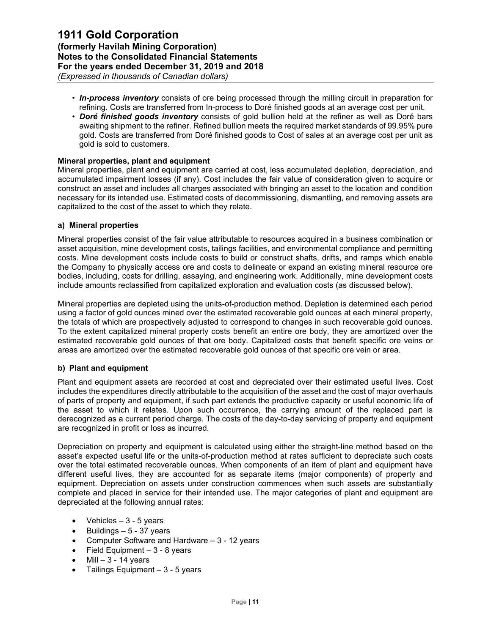- *• In-process inventory* consists of ore being processed through the milling circuit in preparation for refining. Costs are transferred from In-process to Doré finished goods at an average cost per unit.
- *• Doré finished goods inventory* consists of gold bullion held at the refiner as well as Doré bars awaiting shipment to the refiner. Refined bullion meets the required market standards of 99.95% pure gold. Costs are transferred from Doré finished goods to Cost of sales at an average cost per unit as gold is sold to customers.

## **Mineral properties, plant and equipment**

Mineral properties, plant and equipment are carried at cost, less accumulated depletion, depreciation, and accumulated impairment losses (if any). Cost includes the fair value of consideration given to acquire or construct an asset and includes all charges associated with bringing an asset to the location and condition necessary for its intended use. Estimated costs of decommissioning, dismantling, and removing assets are capitalized to the cost of the asset to which they relate.

#### **a) Mineral properties**

Mineral properties consist of the fair value attributable to resources acquired in a business combination or asset acquisition, mine development costs, tailings facilities, and environmental compliance and permitting costs. Mine development costs include costs to build or construct shafts, drifts, and ramps which enable the Company to physically access ore and costs to delineate or expand an existing mineral resource ore bodies, including, costs for drilling, assaying, and engineering work. Additionally, mine development costs include amounts reclassified from capitalized exploration and evaluation costs (as discussed below).

Mineral properties are depleted using the units-of-production method. Depletion is determined each period using a factor of gold ounces mined over the estimated recoverable gold ounces at each mineral property, the totals of which are prospectively adjusted to correspond to changes in such recoverable gold ounces. To the extent capitalized mineral property costs benefit an entire ore body, they are amortized over the estimated recoverable gold ounces of that ore body. Capitalized costs that benefit specific ore veins or areas are amortized over the estimated recoverable gold ounces of that specific ore vein or area.

## **b) Plant and equipment**

Plant and equipment assets are recorded at cost and depreciated over their estimated useful lives. Cost includes the expenditures directly attributable to the acquisition of the asset and the cost of major overhauls of parts of property and equipment, if such part extends the productive capacity or useful economic life of the asset to which it relates. Upon such occurrence, the carrying amount of the replaced part is derecognized as a current period charge. The costs of the day-to-day servicing of property and equipment are recognized in profit or loss as incurred.

Depreciation on property and equipment is calculated using either the straight-line method based on the asset's expected useful life or the units-of-production method at rates sufficient to depreciate such costs over the total estimated recoverable ounces. When components of an item of plant and equipment have different useful lives, they are accounted for as separate items (major components) of property and equipment. Depreciation on assets under construction commences when such assets are substantially complete and placed in service for their intended use. The major categories of plant and equipment are depreciated at the following annual rates:

- Vehicles  $-3 5$  years
- Buildings  $-5 37$  years
- Computer Software and Hardware 3 12 years
- Field Equipment  $-3 8$  years
- $\bullet$  Mill  $-3$  14 years
- Tailings Equipment  $-3 5$  years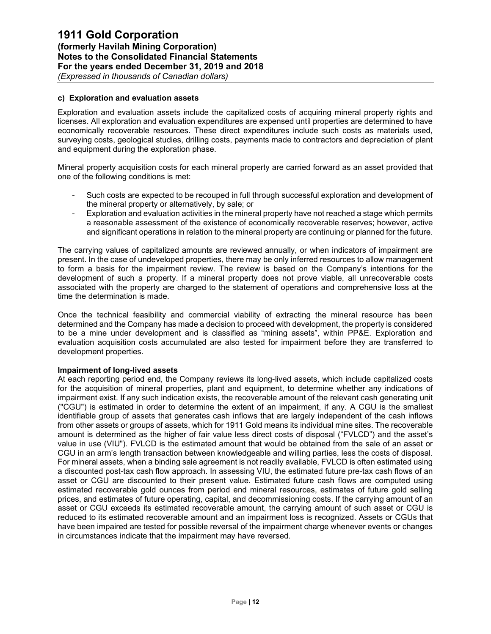### **c) Exploration and evaluation assets**

Exploration and evaluation assets include the capitalized costs of acquiring mineral property rights and licenses. All exploration and evaluation expenditures are expensed until properties are determined to have economically recoverable resources. These direct expenditures include such costs as materials used, surveying costs, geological studies, drilling costs, payments made to contractors and depreciation of plant and equipment during the exploration phase.

Mineral property acquisition costs for each mineral property are carried forward as an asset provided that one of the following conditions is met:

- Such costs are expected to be recouped in full through successful exploration and development of the mineral property or alternatively, by sale; or
- Exploration and evaluation activities in the mineral property have not reached a stage which permits a reasonable assessment of the existence of economically recoverable reserves; however, active and significant operations in relation to the mineral property are continuing or planned for the future.

The carrying values of capitalized amounts are reviewed annually, or when indicators of impairment are present. In the case of undeveloped properties, there may be only inferred resources to allow management to form a basis for the impairment review. The review is based on the Company's intentions for the development of such a property. If a mineral property does not prove viable, all unrecoverable costs associated with the property are charged to the statement of operations and comprehensive loss at the time the determination is made.

Once the technical feasibility and commercial viability of extracting the mineral resource has been determined and the Company has made a decision to proceed with development, the property is considered to be a mine under development and is classified as "mining assets", within PP&E. Exploration and evaluation acquisition costs accumulated are also tested for impairment before they are transferred to development properties.

#### **Impairment of long-lived assets**

At each reporting period end, the Company reviews its long-lived assets, which include capitalized costs for the acquisition of mineral properties, plant and equipment, to determine whether any indications of impairment exist. If any such indication exists, the recoverable amount of the relevant cash generating unit ("CGU") is estimated in order to determine the extent of an impairment, if any. A CGU is the smallest identifiable group of assets that generates cash inflows that are largely independent of the cash inflows from other assets or groups of assets, which for 1911 Gold means its individual mine sites. The recoverable amount is determined as the higher of fair value less direct costs of disposal ("FVLCD") and the asset's value in use (VIU"). FVLCD is the estimated amount that would be obtained from the sale of an asset or CGU in an arm's length transaction between knowledgeable and willing parties, less the costs of disposal. For mineral assets, when a binding sale agreement is not readily available, FVLCD is often estimated using a discounted post-tax cash flow approach. In assessing VIU, the estimated future pre-tax cash flows of an asset or CGU are discounted to their present value. Estimated future cash flows are computed using estimated recoverable gold ounces from period end mineral resources, estimates of future gold selling prices, and estimates of future operating, capital, and decommissioning costs. If the carrying amount of an asset or CGU exceeds its estimated recoverable amount, the carrying amount of such asset or CGU is reduced to its estimated recoverable amount and an impairment loss is recognized. Assets or CGUs that have been impaired are tested for possible reversal of the impairment charge whenever events or changes in circumstances indicate that the impairment may have reversed.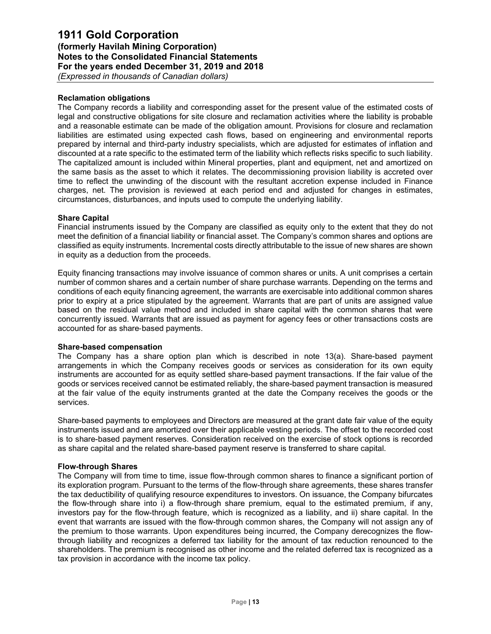## **Reclamation obligations**

The Company records a liability and corresponding asset for the present value of the estimated costs of legal and constructive obligations for site closure and reclamation activities where the liability is probable and a reasonable estimate can be made of the obligation amount. Provisions for closure and reclamation liabilities are estimated using expected cash flows, based on engineering and environmental reports prepared by internal and third-party industry specialists, which are adjusted for estimates of inflation and discounted at a rate specific to the estimated term of the liability which reflects risks specific to such liability. The capitalized amount is included within Mineral properties, plant and equipment, net and amortized on the same basis as the asset to which it relates. The decommissioning provision liability is accreted over time to reflect the unwinding of the discount with the resultant accretion expense included in Finance charges, net. The provision is reviewed at each period end and adjusted for changes in estimates, circumstances, disturbances, and inputs used to compute the underlying liability.

## **Share Capital**

Financial instruments issued by the Company are classified as equity only to the extent that they do not meet the definition of a financial liability or financial asset. The Company's common shares and options are classified as equity instruments. Incremental costs directly attributable to the issue of new shares are shown in equity as a deduction from the proceeds.

Equity financing transactions may involve issuance of common shares or units. A unit comprises a certain number of common shares and a certain number of share purchase warrants. Depending on the terms and conditions of each equity financing agreement, the warrants are exercisable into additional common shares prior to expiry at a price stipulated by the agreement. Warrants that are part of units are assigned value based on the residual value method and included in share capital with the common shares that were concurrently issued. Warrants that are issued as payment for agency fees or other transactions costs are accounted for as share‐based payments.

#### **Share-based compensation**

The Company has a share option plan which is described in note 13(a). Share-based payment arrangements in which the Company receives goods or services as consideration for its own equity instruments are accounted for as equity settled share-based payment transactions. If the fair value of the goods or services received cannot be estimated reliably, the share-based payment transaction is measured at the fair value of the equity instruments granted at the date the Company receives the goods or the services.

Share-based payments to employees and Directors are measured at the grant date fair value of the equity instruments issued and are amortized over their applicable vesting periods. The offset to the recorded cost is to share-based payment reserves. Consideration received on the exercise of stock options is recorded as share capital and the related share-based payment reserve is transferred to share capital.

#### **Flow-through Shares**

The Company will from time to time, issue flow-through common shares to finance a significant portion of its exploration program. Pursuant to the terms of the flow-through share agreements, these shares transfer the tax deductibility of qualifying resource expenditures to investors. On issuance, the Company bifurcates the flow-through share into i) a flow-through share premium, equal to the estimated premium, if any, investors pay for the flow-through feature, which is recognized as a liability, and ii) share capital. In the event that warrants are issued with the flow-through common shares, the Company will not assign any of the premium to those warrants. Upon expenditures being incurred, the Company derecognizes the flowthrough liability and recognizes a deferred tax liability for the amount of tax reduction renounced to the shareholders. The premium is recognised as other income and the related deferred tax is recognized as a tax provision in accordance with the income tax policy.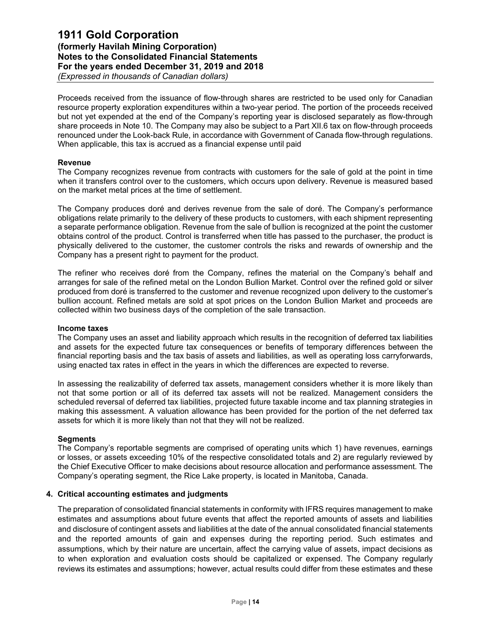Proceeds received from the issuance of flow-through shares are restricted to be used only for Canadian resource property exploration expenditures within a two-year period. The portion of the proceeds received but not yet expended at the end of the Company's reporting year is disclosed separately as flow-through share proceeds in Note 10. The Company may also be subject to a Part XII.6 tax on flow-through proceeds renounced under the Look-back Rule, in accordance with Government of Canada flow-through regulations. When applicable, this tax is accrued as a financial expense until paid

#### **Revenue**

The Company recognizes revenue from contracts with customers for the sale of gold at the point in time when it transfers control over to the customers, which occurs upon delivery. Revenue is measured based on the market metal prices at the time of settlement.

The Company produces doré and derives revenue from the sale of doré. The Company's performance obligations relate primarily to the delivery of these products to customers, with each shipment representing a separate performance obligation. Revenue from the sale of bullion is recognized at the point the customer obtains control of the product. Control is transferred when title has passed to the purchaser, the product is physically delivered to the customer, the customer controls the risks and rewards of ownership and the Company has a present right to payment for the product.

The refiner who receives doré from the Company, refines the material on the Company's behalf and arranges for sale of the refined metal on the London Bullion Market. Control over the refined gold or silver produced from doré is transferred to the customer and revenue recognized upon delivery to the customer's bullion account. Refined metals are sold at spot prices on the London Bullion Market and proceeds are collected within two business days of the completion of the sale transaction.

#### **Income taxes**

The Company uses an asset and liability approach which results in the recognition of deferred tax liabilities and assets for the expected future tax consequences or benefits of temporary differences between the financial reporting basis and the tax basis of assets and liabilities, as well as operating loss carryforwards, using enacted tax rates in effect in the years in which the differences are expected to reverse.

In assessing the realizability of deferred tax assets, management considers whether it is more likely than not that some portion or all of its deferred tax assets will not be realized. Management considers the scheduled reversal of deferred tax liabilities, projected future taxable income and tax planning strategies in making this assessment. A valuation allowance has been provided for the portion of the net deferred tax assets for which it is more likely than not that they will not be realized.

## **Segments**

The Company's reportable segments are comprised of operating units which 1) have revenues, earnings or losses, or assets exceeding 10% of the respective consolidated totals and 2) are regularly reviewed by the Chief Executive Officer to make decisions about resource allocation and performance assessment. The Company's operating segment, the Rice Lake property, is located in Manitoba, Canada.

#### **4. Critical accounting estimates and judgments**

The preparation of consolidated financial statements in conformity with IFRS requires management to make estimates and assumptions about future events that affect the reported amounts of assets and liabilities and disclosure of contingent assets and liabilities at the date of the annual consolidated financial statements and the reported amounts of gain and expenses during the reporting period. Such estimates and assumptions, which by their nature are uncertain, affect the carrying value of assets, impact decisions as to when exploration and evaluation costs should be capitalized or expensed. The Company regularly reviews its estimates and assumptions; however, actual results could differ from these estimates and these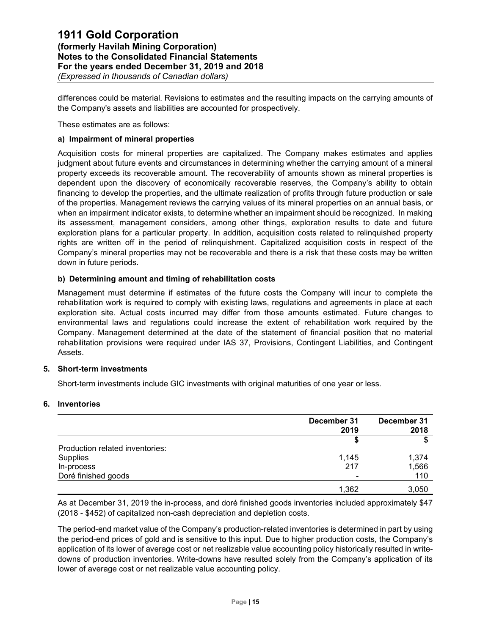differences could be material. Revisions to estimates and the resulting impacts on the carrying amounts of the Company's assets and liabilities are accounted for prospectively.

These estimates are as follows:

## **a) Impairment of mineral properties**

Acquisition costs for mineral properties are capitalized. The Company makes estimates and applies judgment about future events and circumstances in determining whether the carrying amount of a mineral property exceeds its recoverable amount. The recoverability of amounts shown as mineral properties is dependent upon the discovery of economically recoverable reserves, the Company's ability to obtain financing to develop the properties, and the ultimate realization of profits through future production or sale of the properties. Management reviews the carrying values of its mineral properties on an annual basis, or when an impairment indicator exists, to determine whether an impairment should be recognized. In making its assessment, management considers, among other things, exploration results to date and future exploration plans for a particular property. In addition, acquisition costs related to relinquished property rights are written off in the period of relinquishment. Capitalized acquisition costs in respect of the Company's mineral properties may not be recoverable and there is a risk that these costs may be written down in future periods.

## **b) Determining amount and timing of rehabilitation costs**

Management must determine if estimates of the future costs the Company will incur to complete the rehabilitation work is required to comply with existing laws, regulations and agreements in place at each exploration site. Actual costs incurred may differ from those amounts estimated. Future changes to environmental laws and regulations could increase the extent of rehabilitation work required by the Company. Management determined at the date of the statement of financial position that no material rehabilitation provisions were required under IAS 37, Provisions, Contingent Liabilities, and Contingent Assets.

#### **5. Short-term investments**

Short-term investments include GIC investments with original maturities of one year or less.

## **6. Inventories**

|                                 | December 31<br>2019 | December 31<br>2018 |
|---------------------------------|---------------------|---------------------|
|                                 |                     |                     |
| Production related inventories: |                     |                     |
| Supplies                        | 1,145               | 1,374               |
| In-process                      | 217                 | 1,566               |
| Doré finished goods             |                     | 110                 |
|                                 | 1,362               | 3,050               |

As at December 31, 2019 the in-process, and doré finished goods inventories included approximately \$47 (2018 - \$452) of capitalized non-cash depreciation and depletion costs.

The period-end market value of the Company's production-related inventories is determined in part by using the period-end prices of gold and is sensitive to this input. Due to higher production costs, the Company's application of its lower of average cost or net realizable value accounting policy historically resulted in writedowns of production inventories. Write-downs have resulted solely from the Company's application of its lower of average cost or net realizable value accounting policy.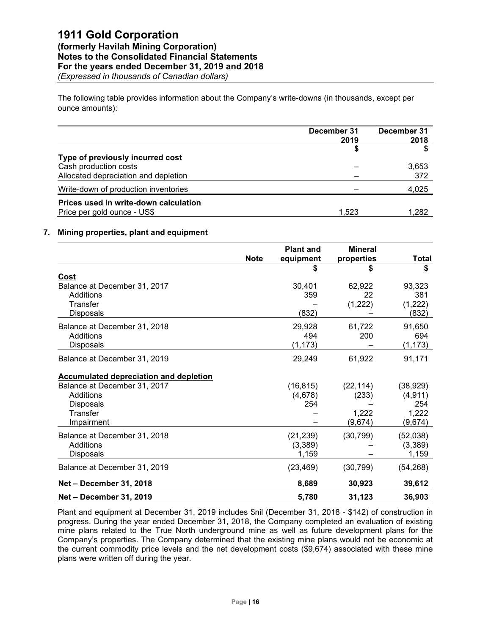The following table provides information about the Company's write-downs (in thousands, except per ounce amounts):

|                                                                      | December 31<br>2019 | December 31<br>2018 |
|----------------------------------------------------------------------|---------------------|---------------------|
| Type of previously incurred cost                                     |                     |                     |
| Cash production costs<br>Allocated depreciation and depletion        |                     | 3,653<br>372        |
| Write-down of production inventories                                 |                     | 4,025               |
| Prices used in write-down calculation<br>Price per gold ounce - US\$ | 1,523               | 1,282               |

#### **7. Mining properties, plant and equipment**

|                                               | <b>Note</b> | <b>Plant and</b><br>equipment | <b>Mineral</b><br>properties | <b>Total</b> |
|-----------------------------------------------|-------------|-------------------------------|------------------------------|--------------|
|                                               |             | S                             | \$                           | \$           |
| Cost                                          |             |                               |                              |              |
| Balance at December 31, 2017                  |             | 30,401                        | 62,922                       | 93,323       |
| Additions                                     |             | 359                           | 22                           | 381          |
| Transfer                                      |             |                               | (1,222)                      | (1,222)      |
| <b>Disposals</b>                              |             | (832)                         |                              | (832)        |
| Balance at December 31, 2018                  |             | 29,928                        | 61,722                       | 91,650       |
| Additions                                     |             | 494                           | 200                          | 694          |
| Disposals                                     |             | (1, 173)                      |                              | (1, 173)     |
| Balance at December 31, 2019                  |             | 29,249                        | 61,922                       | 91,171       |
| <b>Accumulated depreciation and depletion</b> |             |                               |                              |              |
| Balance at December 31, 2017                  |             | (16, 815)                     | (22, 114)                    | (38, 929)    |
| Additions                                     |             | (4,678)                       | (233)                        | (4, 911)     |
| <b>Disposals</b>                              |             | 254                           |                              | 254          |
| Transfer                                      |             |                               | 1,222                        | 1,222        |
| Impairment                                    |             |                               | (9,674)                      | (9,674)      |
| Balance at December 31, 2018                  |             | (21, 239)                     | (30, 799)                    | (52,038)     |
| Additions                                     |             | (3,389)                       |                              | (3,389)      |
| Disposals                                     |             | 1,159                         |                              | 1,159        |
| Balance at December 31, 2019                  |             | (23, 469)                     | (30, 799)                    | (54, 268)    |
| Net - December 31, 2018                       |             | 8,689                         | 30,923                       | 39,612       |
| Net - December 31, 2019                       |             | 5,780                         | 31,123                       | 36,903       |

Plant and equipment at December 31, 2019 includes \$nil (December 31, 2018 - \$142) of construction in progress. During the year ended December 31, 2018, the Company completed an evaluation of existing mine plans related to the True North underground mine as well as future development plans for the Company's properties. The Company determined that the existing mine plans would not be economic at the current commodity price levels and the net development costs (\$9,674) associated with these mine plans were written off during the year.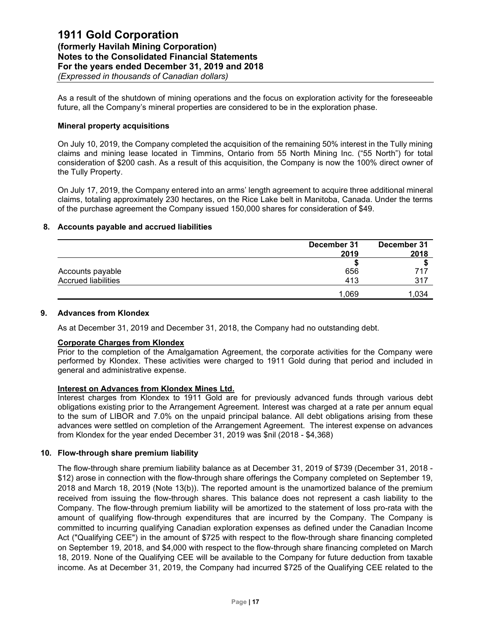As a result of the shutdown of mining operations and the focus on exploration activity for the foreseeable future, all the Company's mineral properties are considered to be in the exploration phase.

#### **Mineral property acquisitions**

On July 10, 2019, the Company completed the acquisition of the remaining 50% interest in the Tully mining claims and mining lease located in Timmins, Ontario from 55 North Mining Inc. ("55 North") for total consideration of \$200 cash. As a result of this acquisition, the Company is now the 100% direct owner of the Tully Property.

On July 17, 2019, the Company entered into an arms' length agreement to acquire three additional mineral claims, totaling approximately 230 hectares, on the Rice Lake belt in Manitoba, Canada. Under the terms of the purchase agreement the Company issued 150,000 shares for consideration of \$49.

#### **8. Accounts payable and accrued liabilities**

|                     | December 31 | December 31 |  |
|---------------------|-------------|-------------|--|
|                     | 2019        | 2018        |  |
|                     |             |             |  |
| Accounts payable    | 656         | 717         |  |
| Accrued liabilities | 413         | 317         |  |
|                     | 1,069       | 1.034       |  |

#### **9. Advances from Klondex**

As at December 31, 2019 and December 31, 2018, the Company had no outstanding debt.

## **Corporate Charges from Klondex**

Prior to the completion of the Amalgamation Agreement, the corporate activities for the Company were performed by Klondex. These activities were charged to 1911 Gold during that period and included in general and administrative expense.

## **Interest on Advances from Klondex Mines Ltd.**

Interest charges from Klondex to 1911 Gold are for previously advanced funds through various debt obligations existing prior to the Arrangement Agreement. Interest was charged at a rate per annum equal to the sum of LIBOR and 7.0% on the unpaid principal balance. All debt obligations arising from these advances were settled on completion of the Arrangement Agreement. The interest expense on advances from Klondex for the year ended December 31, 2019 was \$nil (2018 - \$4,368)

### **10. Flow-through share premium liability**

The flow-through share premium liability balance as at December 31, 2019 of \$739 (December 31, 2018 - \$12) arose in connection with the flow-through share offerings the Company completed on September 19, 2018 and March 18, 2019 (Note 13(b)). The reported amount is the unamortized balance of the premium received from issuing the flow-through shares. This balance does not represent a cash liability to the Company. The flow-through premium liability will be amortized to the statement of loss pro-rata with the amount of qualifying flow-through expenditures that are incurred by the Company. The Company is committed to incurring qualifying Canadian exploration expenses as defined under the Canadian Income Act ("Qualifying CEE") in the amount of \$725 with respect to the flow-through share financing completed on September 19, 2018, and \$4,000 with respect to the flow-through share financing completed on March 18, 2019. None of the Qualifying CEE will be available to the Company for future deduction from taxable income. As at December 31, 2019, the Company had incurred \$725 of the Qualifying CEE related to the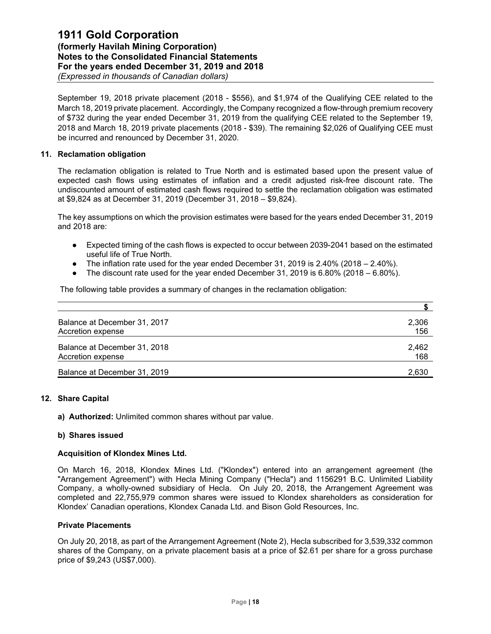September 19, 2018 private placement (2018 - \$556), and \$1,974 of the Qualifying CEE related to the March 18, 2019 private placement. Accordingly, the Company recognized a flow-through premium recovery of \$732 during the year ended December 31, 2019 from the qualifying CEE related to the September 19, 2018 and March 18, 2019 private placements (2018 - \$39). The remaining \$2,026 of Qualifying CEE must be incurred and renounced by December 31, 2020.

#### **11. Reclamation obligation**

The reclamation obligation is related to True North and is estimated based upon the present value of expected cash flows using estimates of inflation and a credit adjusted risk-free discount rate. The undiscounted amount of estimated cash flows required to settle the reclamation obligation was estimated at \$9,824 as at December 31, 2019 (December 31, 2018 – \$9,824).

The key assumptions on which the provision estimates were based for the years ended December 31, 2019 and 2018 are:

- Expected timing of the cash flows is expected to occur between 2039-2041 based on the estimated useful life of True North.
- The inflation rate used for the year ended December 31, 2019 is  $2.40\%$  (2018 2.40%).
- The discount rate used for the year ended December 31, 2019 is  $6.80\%$  (2018  $6.80\%$ ).

The following table provides a summary of changes in the reclamation obligation:

| Balance at December 31, 2017 | 2,306 |
|------------------------------|-------|
| Accretion expense            | 156   |
| Balance at December 31, 2018 | 2.462 |
| Accretion expense            | 168   |
| Balance at December 31, 2019 | 2.630 |

## **12. Share Capital**

**a) Authorized:** Unlimited common shares without par value.

#### **b) Shares issued**

#### **Acquisition of Klondex Mines Ltd.**

On March 16, 2018, Klondex Mines Ltd. ("Klondex") entered into an arrangement agreement (the "Arrangement Agreement") with Hecla Mining Company ("Hecla") and 1156291 B.C. Unlimited Liability Company, a wholly-owned subsidiary of Hecla. On July 20, 2018, the Arrangement Agreement was completed and 22,755,979 common shares were issued to Klondex shareholders as consideration for Klondex' Canadian operations, Klondex Canada Ltd. and Bison Gold Resources, Inc.

#### **Private Placements**

On July 20, 2018, as part of the Arrangement Agreement (Note 2), Hecla subscribed for 3,539,332 common shares of the Company, on a private placement basis at a price of \$2.61 per share for a gross purchase price of \$9,243 (US\$7,000).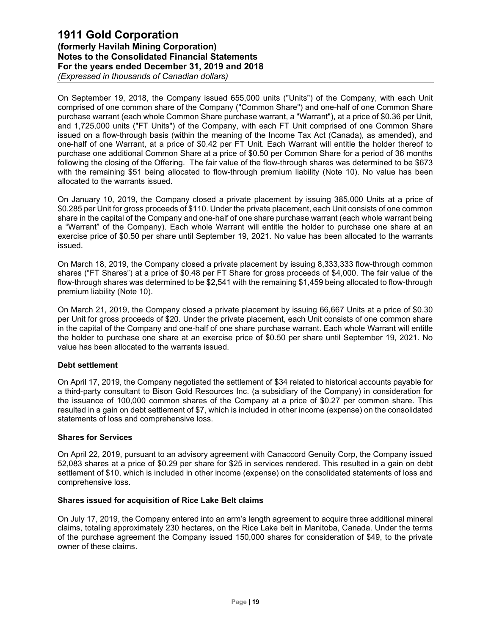On September 19, 2018, the Company issued 655,000 units ("Units") of the Company, with each Unit comprised of one common share of the Company ("Common Share") and one-half of one Common Share purchase warrant (each whole Common Share purchase warrant, a "Warrant"), at a price of \$0.36 per Unit, and 1,725,000 units ("FT Units") of the Company, with each FT Unit comprised of one Common Share issued on a flow-through basis (within the meaning of the Income Tax Act (Canada), as amended), and one-half of one Warrant, at a price of \$0.42 per FT Unit. Each Warrant will entitle the holder thereof to purchase one additional Common Share at a price of \$0.50 per Common Share for a period of 36 months following the closing of the Offering. The fair value of the flow-through shares was determined to be \$673 with the remaining \$51 being allocated to flow-through premium liability (Note 10). No value has been allocated to the warrants issued.

On January 10, 2019, the Company closed a private placement by issuing 385,000 Units at a price of \$0.285 per Unit for gross proceeds of \$110. Under the private placement, each Unit consists of one common share in the capital of the Company and one-half of one share purchase warrant (each whole warrant being a "Warrant" of the Company). Each whole Warrant will entitle the holder to purchase one share at an exercise price of \$0.50 per share until September 19, 2021. No value has been allocated to the warrants issued.

On March 18, 2019, the Company closed a private placement by issuing 8,333,333 flow-through common shares ("FT Shares") at a price of \$0.48 per FT Share for gross proceeds of \$4,000. The fair value of the flow-through shares was determined to be \$2,541 with the remaining \$1,459 being allocated to flow-through premium liability (Note 10).

On March 21, 2019, the Company closed a private placement by issuing 66,667 Units at a price of \$0.30 per Unit for gross proceeds of \$20. Under the private placement, each Unit consists of one common share in the capital of the Company and one-half of one share purchase warrant. Each whole Warrant will entitle the holder to purchase one share at an exercise price of \$0.50 per share until September 19, 2021. No value has been allocated to the warrants issued.

## **Debt settlement**

On April 17, 2019, the Company negotiated the settlement of \$34 related to historical accounts payable for a third-party consultant to Bison Gold Resources Inc. (a subsidiary of the Company) in consideration for the issuance of 100,000 common shares of the Company at a price of \$0.27 per common share. This resulted in a gain on debt settlement of \$7, which is included in other income (expense) on the consolidated statements of loss and comprehensive loss.

#### **Shares for Services**

On April 22, 2019, pursuant to an advisory agreement with Canaccord Genuity Corp, the Company issued 52,083 shares at a price of \$0.29 per share for \$25 in services rendered. This resulted in a gain on debt settlement of \$10, which is included in other income (expense) on the consolidated statements of loss and comprehensive loss.

#### **Shares issued for acquisition of Rice Lake Belt claims**

On July 17, 2019, the Company entered into an arm's length agreement to acquire three additional mineral claims, totaling approximately 230 hectares, on the Rice Lake belt in Manitoba, Canada. Under the terms of the purchase agreement the Company issued 150,000 shares for consideration of \$49, to the private owner of these claims.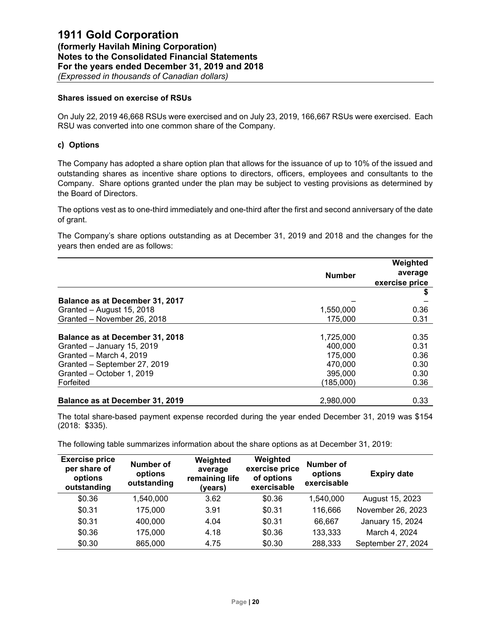### **Shares issued on exercise of RSUs**

On July 22, 2019 46,668 RSUs were exercised and on July 23, 2019, 166,667 RSUs were exercised. Each RSU was converted into one common share of the Company.

## **c) Options**

The Company has adopted a share option plan that allows for the issuance of up to 10% of the issued and outstanding shares as incentive share options to directors, officers, employees and consultants to the Company. Share options granted under the plan may be subject to vesting provisions as determined by the Board of Directors.

The options vest as to one-third immediately and one-third after the first and second anniversary of the date of grant.

The Company's share options outstanding as at December 31, 2019 and 2018 and the changes for the years then ended are as follows:

|                                        |               | Weighted       |
|----------------------------------------|---------------|----------------|
|                                        | <b>Number</b> | average        |
|                                        |               | exercise price |
|                                        |               |                |
| Balance as at December 31, 2017        |               |                |
| Granted - August 15, 2018              | 1,550,000     | 0.36           |
| Granted - November 26, 2018            | 175,000       | 0.31           |
|                                        |               |                |
| <b>Balance as at December 31, 2018</b> | 1,725,000     | 0.35           |
| Granted - January 15, 2019             | 400,000       | 0.31           |
| Granted - March 4, 2019                | 175,000       | 0.36           |
| Granted - September 27, 2019           | 470.000       | 0.30           |
| Granted - October 1, 2019              | 395,000       | 0.30           |
| Forfeited                              | (185,000)     | 0.36           |
| Balance as at December 31, 2019        | 2.980.000     | 0.33           |

The total share-based payment expense recorded during the year ended December 31, 2019 was \$154 (2018: \$335).

The following table summarizes information about the share options as at December 31, 2019:

| <b>Exercise price</b><br>per share of<br>options<br>outstanding | Number of<br>options<br>outstanding | Weighted<br>average<br>remaining life<br>(years) | Weighted<br>exercise price<br>of options<br>exercisable | Number of<br>options<br>exercisable | <b>Expiry date</b> |
|-----------------------------------------------------------------|-------------------------------------|--------------------------------------------------|---------------------------------------------------------|-------------------------------------|--------------------|
| \$0.36                                                          | 1,540,000                           | 3.62                                             | \$0.36                                                  | 1,540,000                           | August 15, 2023    |
| \$0.31                                                          | 175,000                             | 3.91                                             | \$0.31                                                  | 116,666                             | November 26, 2023  |
| \$0.31                                                          | 400,000                             | 4.04                                             | \$0.31                                                  | 66,667                              | January 15, 2024   |
| \$0.36                                                          | 175,000                             | 4.18                                             | \$0.36                                                  | 133,333                             | March 4, 2024      |
| \$0.30                                                          | 865,000                             | 4.75                                             | \$0.30                                                  | 288,333                             | September 27, 2024 |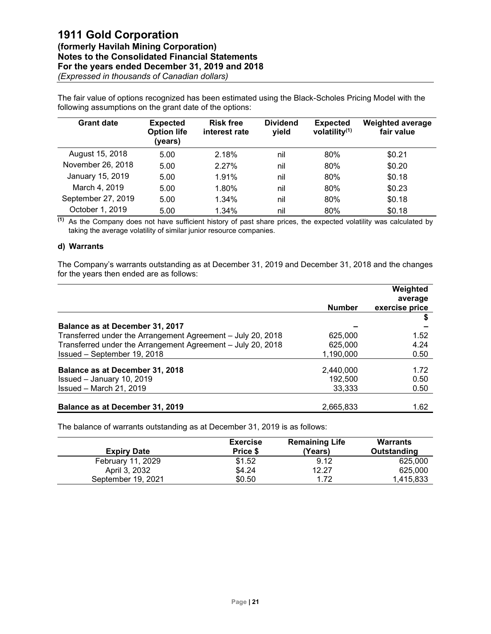The fair value of options recognized has been estimated using the Black-Scholes Pricing Model with the following assumptions on the grant date of the options:

| <b>Grant date</b>  | <b>Expected</b><br><b>Option life</b><br>(years) | <b>Risk free</b><br>interest rate | <b>Dividend</b><br>yield | <b>Expected</b><br>volatility $(1)$ | <b>Weighted average</b><br>fair value |
|--------------------|--------------------------------------------------|-----------------------------------|--------------------------|-------------------------------------|---------------------------------------|
| August 15, 2018    | 5.00                                             | 2.18%                             | nil                      | 80%                                 | \$0.21                                |
| November 26, 2018  | 5.00                                             | 2.27%                             | nil                      | 80%                                 | \$0.20                                |
| January 15, 2019   | 5.00                                             | 1.91%                             | nil                      | 80%                                 | \$0.18                                |
| March 4, 2019      | 5.00                                             | 1.80%                             | nil                      | 80%                                 | \$0.23                                |
| September 27, 2019 | 5.00                                             | 1.34%                             | nil                      | 80%                                 | \$0.18                                |
| October 1, 2019    | 5.00                                             | 1.34%                             | nil                      | 80%                                 | \$0.18                                |

**(1)** As the Company does not have sufficient history of past share prices, the expected volatility was calculated by taking the average volatility of similar junior resource companies.

## **d) Warrants**

The Company's warrants outstanding as at December 31, 2019 and December 31, 2018 and the changes for the years then ended are as follows:

|                                                             |               | Weighted       |
|-------------------------------------------------------------|---------------|----------------|
|                                                             |               | average        |
|                                                             | <b>Number</b> | exercise price |
|                                                             |               |                |
| Balance as at December 31, 2017                             |               |                |
| Transferred under the Arrangement Agreement - July 20, 2018 | 625,000       | 1.52           |
| Transferred under the Arrangement Agreement - July 20, 2018 | 625,000       | 4.24           |
| Issued - September 19, 2018                                 | 1,190,000     | 0.50           |
| Balance as at December 31, 2018                             | 2,440,000     | 1.72           |
| Issued - January 10, 2019                                   | 192,500       | 0.50           |
| Issued - March 21, 2019                                     | 33,333        | 0.50           |
|                                                             |               |                |
| Balance as at December 31, 2019                             | 2.665.833     | 1.62           |

The balance of warrants outstanding as at December 31, 2019 is as follows:

| <b>Expiry Date</b> | <b>Exercise</b><br>Price \$ | <b>Remaining Life</b><br>(Years) | <b>Warrants</b><br>Outstanding |
|--------------------|-----------------------------|----------------------------------|--------------------------------|
| February 11, 2029  | \$1.52                      | 9.12                             | 625,000                        |
| April 3, 2032      | \$4.24                      | 12.27                            | 625,000                        |
| September 19, 2021 | \$0.50                      | 1.72                             | 1.415.833                      |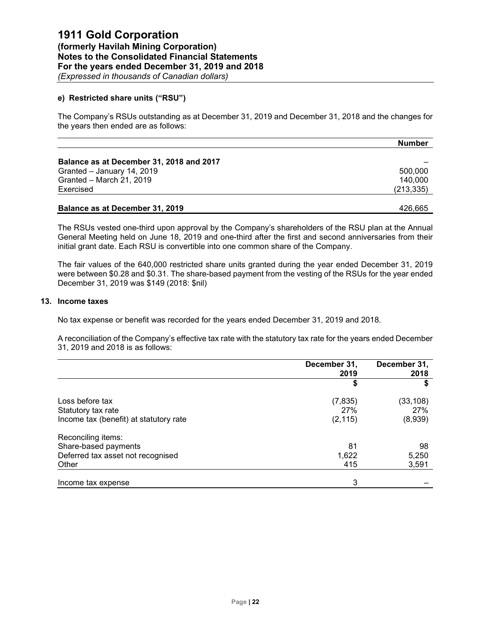### **e) Restricted share units ("RSU")**

The Company's RSUs outstanding as at December 31, 2019 and December 31, 2018 and the changes for the years then ended are as follows:

|                                          | <b>Number</b> |
|------------------------------------------|---------------|
|                                          |               |
| Balance as at December 31, 2018 and 2017 |               |
| Granted - January 14, 2019               | 500,000       |
| Granted - March 21, 2019                 | 140,000       |
| Exercised                                | (213, 335)    |
|                                          |               |
| Balance as at December 31, 2019          | 426.665       |

The RSUs vested one-third upon approval by the Company's shareholders of the RSU plan at the Annual General Meeting held on June 18, 2019 and one-third after the first and second anniversaries from their initial grant date. Each RSU is convertible into one common share of the Company.

The fair values of the 640,000 restricted share units granted during the year ended December 31, 2019 were between \$0.28 and \$0.31. The share-based payment from the vesting of the RSUs for the year ended December 31, 2019 was \$149 (2018: \$nil)

#### **13. Income taxes**

No tax expense or benefit was recorded for the years ended December 31, 2019 and 2018.

A reconciliation of the Company's effective tax rate with the statutory tax rate for the years ended December 31, 2019 and 2018 is as follows:

|                                                              | December 31,<br>2019 | December 31,<br>2018 |
|--------------------------------------------------------------|----------------------|----------------------|
|                                                              | S                    | S                    |
| Loss before tax                                              | (7, 835)<br>27%      | (33, 108)<br>27%     |
| Statutory tax rate<br>Income tax (benefit) at statutory rate | (2, 115)             | (8,939)              |
| Reconciling items:                                           |                      |                      |
| Share-based payments                                         | 81                   | 98                   |
| Deferred tax asset not recognised                            | 1,622                | 5,250                |
| Other                                                        | 415                  | 3,591                |
| Income tax expense                                           | 3                    |                      |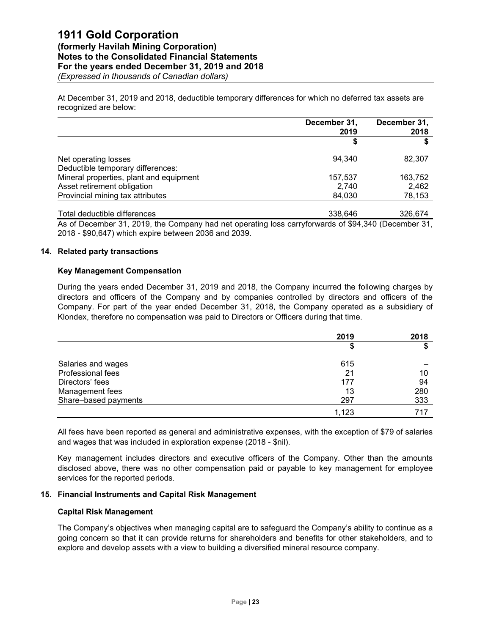At December 31, 2019 and 2018, deductible temporary differences for which no deferred tax assets are recognized are below:

|                                                           | December 31,<br>2019 | December 31,<br>2018 |
|-----------------------------------------------------------|----------------------|----------------------|
|                                                           |                      | œ                    |
| Net operating losses<br>Deductible temporary differences: | 94.340               | 82,307               |
| Mineral properties, plant and equipment                   | 157,537              | 163,752              |
| Asset retirement obligation                               | 2.740                | 2,462                |
| Provincial mining tax attributes                          | 84,030               | 78,153               |
| Total deductible differences                              | 338.646              | 326.674              |

As of December 31, 2019, the Company had net operating loss carryforwards of \$94,340 (December 31, 2018 - \$90,647) which expire between 2036 and 2039.

#### **14. Related party transactions**

#### **Key Management Compensation**

During the years ended December 31, 2019 and 2018, the Company incurred the following charges by directors and officers of the Company and by companies controlled by directors and officers of the Company. For part of the year ended December 31, 2018, the Company operated as a subsidiary of Klondex, therefore no compensation was paid to Directors or Officers during that time.

|                      | 2019  | 2018 |
|----------------------|-------|------|
|                      | Φ     |      |
| Salaries and wages   | 615   |      |
| Professional fees    | 21    | 10   |
| Directors' fees      | 177   | 94   |
| Management fees      | 13    | 280  |
| Share-based payments | 297   | 333  |
|                      | 1,123 |      |

All fees have been reported as general and administrative expenses, with the exception of \$79 of salaries and wages that was included in exploration expense (2018 - \$nil).

Key management includes directors and executive officers of the Company. Other than the amounts disclosed above, there was no other compensation paid or payable to key management for employee services for the reported periods.

#### **15. Financial Instruments and Capital Risk Management**

#### **Capital Risk Management**

The Company's objectives when managing capital are to safeguard the Company's ability to continue as a going concern so that it can provide returns for shareholders and benefits for other stakeholders, and to explore and develop assets with a view to building a diversified mineral resource company.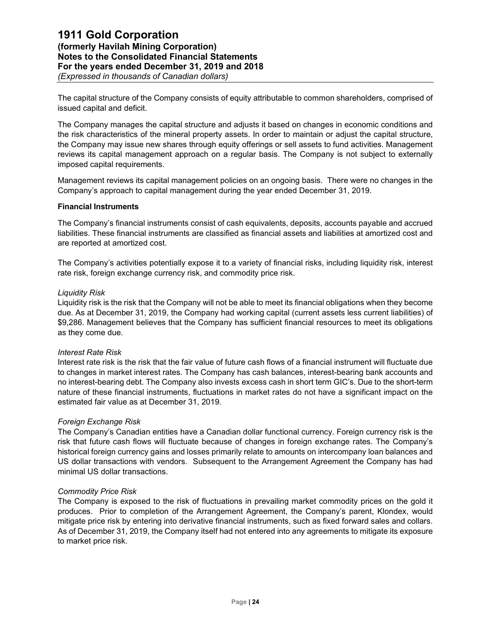The capital structure of the Company consists of equity attributable to common shareholders, comprised of issued capital and deficit.

The Company manages the capital structure and adjusts it based on changes in economic conditions and the risk characteristics of the mineral property assets. In order to maintain or adjust the capital structure, the Company may issue new shares through equity offerings or sell assets to fund activities. Management reviews its capital management approach on a regular basis. The Company is not subject to externally imposed capital requirements.

Management reviews its capital management policies on an ongoing basis. There were no changes in the Company's approach to capital management during the year ended December 31, 2019.

#### **Financial Instruments**

The Company's financial instruments consist of cash equivalents, deposits, accounts payable and accrued liabilities. These financial instruments are classified as financial assets and liabilities at amortized cost and are reported at amortized cost.

The Company's activities potentially expose it to a variety of financial risks, including liquidity risk, interest rate risk, foreign exchange currency risk, and commodity price risk.

#### *Liquidity Risk*

Liquidity risk is the risk that the Company will not be able to meet its financial obligations when they become due. As at December 31, 2019, the Company had working capital (current assets less current liabilities) of \$9,286. Management believes that the Company has sufficient financial resources to meet its obligations as they come due.

#### *Interest Rate Risk*

Interest rate risk is the risk that the fair value of future cash flows of a financial instrument will fluctuate due to changes in market interest rates. The Company has cash balances, interest-bearing bank accounts and no interest-bearing debt. The Company also invests excess cash in short term GIC's. Due to the short-term nature of these financial instruments, fluctuations in market rates do not have a significant impact on the estimated fair value as at December 31, 2019.

#### *Foreign Exchange Risk*

The Company's Canadian entities have a Canadian dollar functional currency. Foreign currency risk is the risk that future cash flows will fluctuate because of changes in foreign exchange rates. The Company's historical foreign currency gains and losses primarily relate to amounts on intercompany loan balances and US dollar transactions with vendors. Subsequent to the Arrangement Agreement the Company has had minimal US dollar transactions.

#### *Commodity Price Risk*

The Company is exposed to the risk of fluctuations in prevailing market commodity prices on the gold it produces. Prior to completion of the Arrangement Agreement, the Company's parent, Klondex, would mitigate price risk by entering into derivative financial instruments, such as fixed forward sales and collars. As of December 31, 2019, the Company itself had not entered into any agreements to mitigate its exposure to market price risk.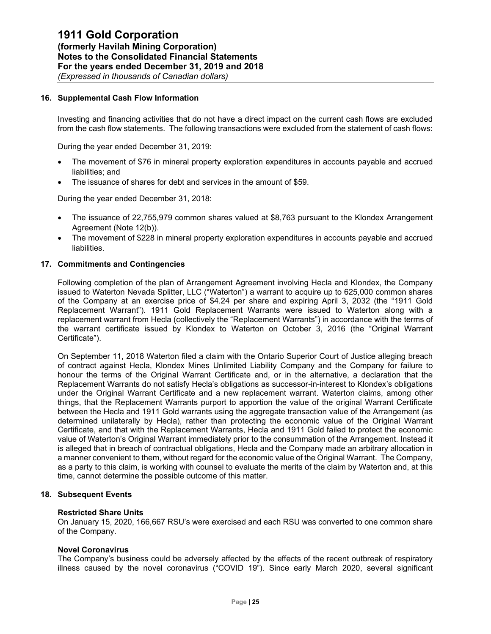#### **16. Supplemental Cash Flow Information**

Investing and financing activities that do not have a direct impact on the current cash flows are excluded from the cash flow statements. The following transactions were excluded from the statement of cash flows:

During the year ended December 31, 2019:

- The movement of \$76 in mineral property exploration expenditures in accounts payable and accrued liabilities; and
- The issuance of shares for debt and services in the amount of \$59.

During the year ended December 31, 2018:

- The issuance of 22,755,979 common shares valued at \$8,763 pursuant to the Klondex Arrangement Agreement (Note 12(b)).
- The movement of \$228 in mineral property exploration expenditures in accounts payable and accrued liabilities.

#### **17. Commitments and Contingencies**

Following completion of the plan of Arrangement Agreement involving Hecla and Klondex, the Company issued to Waterton Nevada Splitter, LLC ("Waterton") a warrant to acquire up to 625,000 common shares of the Company at an exercise price of \$4.24 per share and expiring April 3, 2032 (the "1911 Gold Replacement Warrant"). 1911 Gold Replacement Warrants were issued to Waterton along with a replacement warrant from Hecla (collectively the "Replacement Warrants") in accordance with the terms of the warrant certificate issued by Klondex to Waterton on October 3, 2016 (the "Original Warrant Certificate").

On September 11, 2018 Waterton filed a claim with the Ontario Superior Court of Justice alleging breach of contract against Hecla, Klondex Mines Unlimited Liability Company and the Company for failure to honour the terms of the Original Warrant Certificate and, or in the alternative, a declaration that the Replacement Warrants do not satisfy Hecla's obligations as successor-in-interest to Klondex's obligations under the Original Warrant Certificate and a new replacement warrant. Waterton claims, among other things, that the Replacement Warrants purport to apportion the value of the original Warrant Certificate between the Hecla and 1911 Gold warrants using the aggregate transaction value of the Arrangement (as determined unilaterally by Hecla), rather than protecting the economic value of the Original Warrant Certificate, and that with the Replacement Warrants, Hecla and 1911 Gold failed to protect the economic value of Waterton's Original Warrant immediately prior to the consummation of the Arrangement. Instead it is alleged that in breach of contractual obligations, Hecla and the Company made an arbitrary allocation in a manner convenient to them, without regard for the economic value of the Original Warrant. The Company, as a party to this claim, is working with counsel to evaluate the merits of the claim by Waterton and, at this time, cannot determine the possible outcome of this matter.

#### **18. Subsequent Events**

#### **Restricted Share Units**

On January 15, 2020, 166,667 RSU's were exercised and each RSU was converted to one common share of the Company.

#### **Novel Coronavirus**

The Company's business could be adversely affected by the effects of the recent outbreak of respiratory illness caused by the novel coronavirus ("COVID 19"). Since early March 2020, several significant